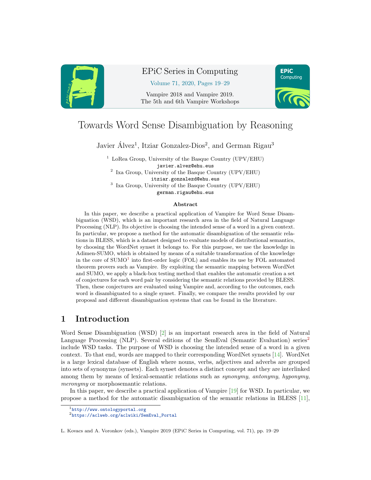

# EPiC Series in Computing

Volume 71, 2020, Pages 19–29

Vampire 2018 and Vampire 2019. The 5th and 6th Vampire Workshops



# Towards Word Sense Disambiguation by Reasoning

Javier Álvez<sup>1</sup>, Itziar Gonzalez-Dios<sup>2</sup>, and German Rigau<sup>3</sup>

 $1$  LoRea Group, University of the Basque Country (UPV/EHU) javier.alvez@ehu.eus 2 Ixa Group, University of the Basque Country (UPV/EHU) itziar.gonzalezd@ehu.eus 3 Ixa Group, University of the Basque Country (UPV/EHU) german.rigau@ehu.eus

#### Abstract

In this paper, we describe a practical application of Vampire for Word Sense Disambiguation (WSD), which is an important research area in the field of Natural Language Processing (NLP). Its objective is choosing the intended sense of a word in a given context. In particular, we propose a method for the automatic disambiguation of the semantic relations in BLESS, which is a dataset designed to evaluate models of distributional semantics, by choosing the WordNet synset it belongs to. For this purpose, we use the knowledge in Adimen-SUMO, which is obtained by means of a suitable transformation of the knowledge in the core of  $SUMO<sup>1</sup>$  $SUMO<sup>1</sup>$  $SUMO<sup>1</sup>$  into first-order logic (FOL) and enables its use by FOL automated theorem provers such as Vampire. By exploiting the semantic mapping between WordNet and SUMO, we apply a black-box testing method that enables the automatic creation a set of conjectures for each word pair by considering the semantic relations provided by BLESS. Then, these conjectures are evaluated using Vampire and, according to the outcomes, each word is disambiguated to a single synset. Finally, we compare the results provided by our proposal and different disambiguation systems that can be found in the literature.

# 1 Introduction

Word Sense Disambiguation (WSD) [\[2\]](#page-9-0) is an important research area in the field of Natural Language Processing (NLP). Several editions of the SemEval (Semantic Evaluation) series<sup>[2](#page-0-1)</sup> include WSD tasks. The purpose of WSD is choosing the intended sense of a word in a given context. To that end, words are mapped to their corresponding WordNet synsets [\[14\]](#page-9-1). WordNet is a large lexical database of English where nouns, verbs, adjectives and adverbs are grouped into sets of synonyms (synsets). Each synset denotes a distinct concept and they are interlinked among them by means of lexical-semantic relations such as synonymy, antonymy, hyponymy, meronymy or morphosemantic relations.

In this paper, we describe a practical application of Vampire [\[19\]](#page-9-2) for WSD. In particular, we propose a method for the automatic disambiguation of the semantic relations in BLESS [\[11\]](#page-9-3),

<span id="page-0-0"></span><sup>1</sup><http://www.ontologyportal.org>

<span id="page-0-1"></span><sup>2</sup>[https://aclweb.org/aclwiki/SemEval\\_Portal](https://aclweb.org/aclwiki/SemEval_Portal)

L. Kovacs and A. Voronkov (eds.), Vampire 2019 (EPiC Series in Computing, vol. 71), pp. 19–29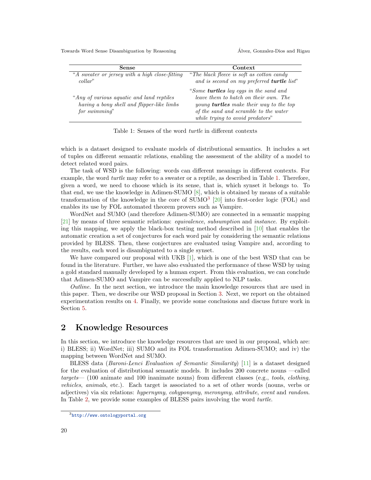Towards Word Sense Disambiguation by Reasoning  $\overrightarrow{A}$  Alvez, Gonzalez-Dios and Rigau

| Sense                                                                                                     | Context                                                                                                                                                                                                               |
|-----------------------------------------------------------------------------------------------------------|-----------------------------------------------------------------------------------------------------------------------------------------------------------------------------------------------------------------------|
| "A sweater or jersey with a high close-fitting<br>collar                                                  | "The black fleece is soft as cotton candy"<br>and is second on my preferred turtle list"                                                                                                                              |
| "Any of various aguatic and land reptiles"<br>having a bony shell and flipper-like limbs<br>for swimming" | "Some <b>turtles</b> lay eggs in the sand and<br>leave them to hatch on their own. The<br>young <b>turtles</b> make their way to the top<br>of the sand and scramble to the water<br>while trying to avoid predators" |

<span id="page-1-0"></span>Table 1: Senses of the word turtle in different contexts

which is a dataset designed to evaluate models of distributional semantics. It includes a set of tuples on different semantic relations, enabling the assessment of the ability of a model to detect related word pairs.

The task of WSD is the following: words can different meanings in different contexts. For example, the word turtle may refer to a sweater or a reptile, as described in Table [1.](#page-1-0) Therefore, given a word, we need to choose which is its sense, that is, which synset it belongs to. To that end, we use the knowledge in Adimen-SUMO [\[8\]](#page-9-4), which is obtained by means of a suitable transformation of the knowledge in the core of  $\text{SUMO}^3$  $\text{SUMO}^3$  [\[20\]](#page-9-5) into first-order logic (FOL) and enables its use by FOL automated theorem provers such as Vampire.

WordNet and SUMO (and therefore Adimen-SUMO) are connected in a semantic mapping [\[21\]](#page-10-0) by means of three semantic relations: equivalence, subsumption and instance. By exploiting this mapping, we apply the black-box testing method described in [\[10\]](#page-9-6) that enables the automatic creation a set of conjectures for each word pair by considering the semantic relations provided by BLESS. Then, these conjectures are evaluated using Vampire and, according to the results, each word is disambiguated to a single synset.

We have compared our proposal with UKB [\[1\]](#page-9-7), which is one of the best WSD that can be found in the literature. Further, we have also evaluated the performance of these WSD by using a gold standard manually developed by a human expert. From this evaluation, we can conclude that Adimen-SUMO and Vampire can be successfully applied to NLP tasks.

Outline. In the next section, we introduce the main knowledge resources that are used in this paper. Then, we describe our WSD proposal in Section [3.](#page-3-0) Next, we report on the obtained experimentation results on [4.](#page-4-0) Finally, we provide some conclusions and discuss future work in Section [5.](#page-8-0)

# <span id="page-1-2"></span>2 Knowledge Resources

In this section, we introduce the knowledge resources that are used in our proposal, which are: i) BLESS; ii) WordNet; iii) SUMO and its FOL transformation Adimen-SUMO; and iv) the mapping between WordNet and SUMO.

BLESS data (Baroni-Lenci Evaluation of Semantic Similarity) [\[11\]](#page-9-3) is a dataset designed for the evaluation of distributional semantic models. It includes 200 concrete nouns —called targets— (100 animate and 100 inanimate nouns) from different classes (e.g., tools, clothing, vehicles, animals, etc.). Each target is associated to a set of other words (nouns, verbs or adjectives) via six relations: hypernymy, cohyponymy, meronymy, attribute, event and random. In Table [2,](#page-1-2) we provide some examples of BLESS pairs involving the word turtle.

<span id="page-1-1"></span><sup>3</sup><http://www.ontologyportal.org>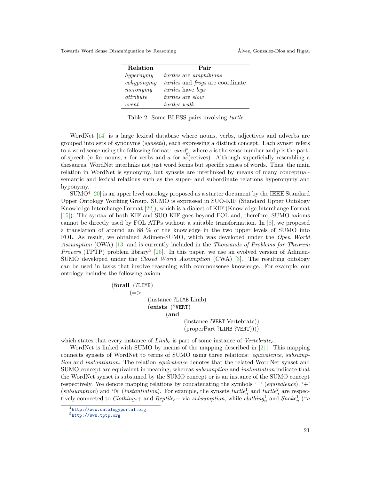Towards Word Sense Disambiguation by Reasoning  $\overrightarrow{A}$  Alvez, Gonzalez-Dios and Rigau

| Relation                    | Pair                                 |
|-----------------------------|--------------------------------------|
| hypernymy                   | <i>turtles</i> are <i>amphibians</i> |
| $\operatorname{cohyponymy}$ | turtles and frogs are coordinate     |
| meronymy                    | <i>turtles</i> have <i>legs</i>      |
| attribute                   | <i>turtles</i> are <i>slow</i>       |
| event                       | turtles walk                         |

Table 2: Some BLESS pairs involving turtle

WordNet [\[14\]](#page-9-1) is a large lexical database where nouns, verbs, adjectives and adverbs are grouped into sets of synonyms (synsets), each expressing a distinct concept. Each synset refers to a word sense using the following format:  $word_p^s$ , where s is the sense number and p is the partof-speech (*n* for nouns, *v* for verbs and *a* for adjectives). Although superficially resembling a thesaurus, WordNet interlinks not just word forms but specific senses of words. Thus, the main relation in WordNet is synonymy, but synsets are interlinked by means of many conceptualsemantic and lexical relations such as the super- and subordinate relations hyperonymy and hyponymy.

 $\text{SUMO}^4$  $\text{SUMO}^4$  [\[20\]](#page-9-5) is an upper level ontology proposed as a starter document by the IEEE Standard Upper Ontology Working Group. SUMO is expressed in SUO-KIF (Standard Upper Ontology Knowledge Interchange Format [\[22\]](#page-10-1)), which is a dialect of KIF (Knowledge Interchange Format [\[15\]](#page-9-8)). The syntax of both KIF and SUO-KIF goes beyond FOL and, therefore, SUMO axioms cannot be directly used by FOL ATPs without a suitable transformation. In [\[8\]](#page-9-4), we proposed a translation of around an 88 % of the knowledge in the two upper levels of SUMO into FOL. As result, we obtained Adimen-SUMO, which was developed under the Open World Assumption (OWA) [\[13\]](#page-9-9) and is currently included in the Thousands of Problems for Theorem *Provers* (TPTP) problem library<sup>[5](#page-2-1)</sup> [\[26\]](#page-10-2). In this paper, we use an evolved version of Adimen-SUMO developed under the Closed World Assumption (CWA) [\[3\]](#page-9-10). The resulting ontology can be used in tasks that involve reasoning with commonsense knowledge. For example, our ontology includes the following axiom

```
(forall (?LIMB)
(=>(instance ?LIMB Limb)
       (exists (?VERT)
             (and
                    (instance ?VERT Vertebrate))
                    (properPart ?LIME ?VERT)))
```
which states that every instance of  $Limb_c$  is part of some instance of  $Vertc_{c}$ .

WordNet is linked with SUMO by means of the mapping described in [\[21\]](#page-10-0). This mapping connects synsets of WordNet to terms of SUMO using three relations: equivalence, subsumption and instantiation. The relation equivalence denotes that the related WordNet synset and SUMO concept are equivalent in meaning, whereas subsumption and instantiation indicate that the WordNet synset is subsumed by the SUMO concept or is an instance of the SUMO concept respectively. We denote mapping relations by concatenating the symbols '=' (equivalence), '+' (subsumption) and ' $\mathbb{Q}$ ' (instantiation). For example, the synsets turtle<sub>n</sub> and turtle<sub>n</sub> are respectively connected to Clothing<sub>c</sub>+ and Reptile<sub>c</sub>+ via subsumption, while clothing<sub>n</sub><sup>1</sup> and Snake<sub>n</sub><sup>1</sup> ("a

<span id="page-2-0"></span><sup>4</sup><http://www.ontologyportal.org>

<span id="page-2-1"></span> $5$  <http://www.tptp.org>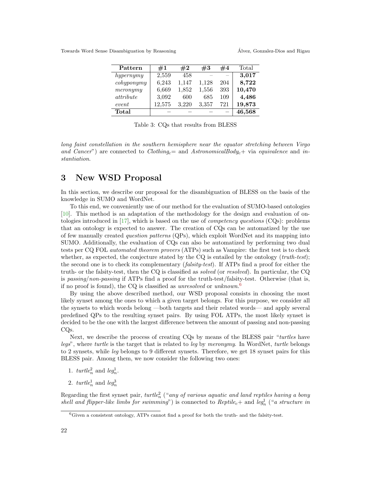Towards Word Sense Disambiguation by Reasoning  $\overrightarrow{A}$  Alvez, Gonzalez-Dios and Rigau

| Pattern                     | $\#1$  | #2    | #3    | #4  | Total  |
|-----------------------------|--------|-------|-------|-----|--------|
| hypernymy                   | 2,559  | 458   |       |     | 3,017  |
| $\operatorname{cohyponymy}$ | 6,243  | 1,147 | 1,128 | 204 | 8,722  |
| meronymy                    | 6.669  | 1,852 | 1,556 | 393 | 10,470 |
| attribute                   | 3,092  | 600   | 685   | 109 | 4,486  |
| event                       | 12,575 | 3.220 | 3,357 | 721 | 19,873 |
| Total                       |        |       |       |     | 46,568 |

Table 3: CQs that results from BLESS

long faint constellation in the southern hemisphere near the equator stretching between Virgo and Cancer") are connected to Clothing<sub>c</sub>= and AstronomicalBody<sub>c</sub>+ via equivalence and instantiation.

### <span id="page-3-0"></span>3 New WSD Proposal

In this section, we describe our proposal for the disambiguation of BLESS on the basis of the knowledge in SUMO and WordNet.

To this end, we conveniently use of our method for the evaluation of SUMO-based ontologies [\[10\]](#page-9-6). This method is an adaptation of the methodology for the design and evaluation of on-tologies introduced in [\[17\]](#page-9-11), which is based on the use of *competency questions* (CQs): problems that an ontology is expected to answer. The creation of CQs can be automatized by the use of few manually created question patterns (QPs), which exploit WordNet and its mapping into SUMO. Additionally, the evaluation of CQs can also be automatized by performing two dual tests per CQ FOL automated theorem provers (ATPs) such as Vampire: the first test is to check whether, as expected, the conjecture stated by the CQ is entailed by the ontology  $(truth-test);$ the second one is to check its complementary (*falsity-test*). If ATPs find a proof for either the truth- or the falsity-test, then the CQ is classified as solved (or resolved). In particular, the CQ is passing/non-passing if ATPs find a proof for the truth-test/falsity-test. Otherwise (that is, if no proof is found), the CQ is classified as *unresolved* or *unknown*.<sup>[6](#page-3-1)</sup>

By using the above described method, our WSD proposal consists in choosing the most likely synset among the ones to which a given target belongs. For this purpose, we consider all the synsets to which words belong —both targets and their related words— and apply several predefined QPs to the resulting synset pairs. By using FOL ATPs, the most likely synset is decided to be the one with the largest difference between the amount of passing and non-passing CQs.

Next, we describe the process of creating CQs by means of the BLESS pair "turtles have legs", where turtle is the target that is related to leg by meronymy. In WordNet, turtle belongs to 2 synsets, while leg belongs to 9 different synsets. Therefore, we get 18 synset pairs for this BLESS pair. Among them, we now consider the following two ones:

- 1.  $\text{turtle}_n^2$  and  $\text{leg}_n^1$ .
- 2.  $\text{turtle}_n^1$  and  $\text{leg}_n^3$

Regarding the first synset pair,  $\text{turtle}_n^2$  ("any of various aquatic and land reptiles having a bony shell and flipper-like limbs for swimming") is connected to Reptile<sub>c</sub>+ and leg<sub>n</sub> ("a structure in

<span id="page-3-1"></span><sup>6</sup>Given a consistent ontology, ATPs cannot find a proof for both the truth- and the falsity-test.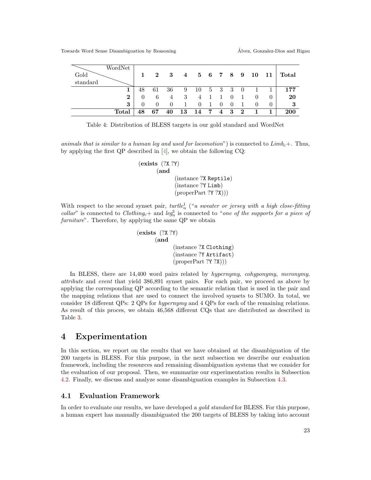| WordNet<br>Gold<br>standard |    | $\mathbf{2}$ | - 3 |    | 4 5 6 7 8 9   |                     |     |                   |                |              |          | $10 \quad 11 \mid \text{Total}$ |
|-----------------------------|----|--------------|-----|----|---------------|---------------------|-----|-------------------|----------------|--------------|----------|---------------------------------|
| 1                           | 48 | 61           | 36  | -9 | 10 5 3 3 0    |                     |     |                   |                | $\sim$ 1     |          | 177                             |
| $\bf{2}$                    |    | 6            | 4   | 3  |               | $4 \quad 1 \quad 1$ |     | $\overline{0}$    | $\overline{1}$ | $\theta$     | $\theta$ | 20                              |
| 3                           |    |              |     | 1  | $\theta$      | - 1                 | - 0 | $\hspace{0.6cm}0$ | $\overline{1}$ | $\theta$     | $\theta$ | - 3                             |
| Total                       | 48 | 67           | 40  |    | 13 14 7 4 3 2 |                     |     |                   |                | $\mathbf{1}$ |          | <b>200</b>                      |

Table 4: Distribution of BLESS targets in our gold standard and WordNet

animals that is similar to a human leg and used for locomotion") is connected to  $Limb_c+.$  Thus, by applying the first QP described in [\[4\]](#page-9-12), we obtain the following CQ:

> $(exists (?X ?Y)$ (and (instance ?X Reptile) (instance ?Y Limb)  $(properPart ?Y ?X))$

With respect to the second synset pair,  $turtle_n^1$  ("a sweater or jersey with a high close-fitting collar" is connected to Clothing<sub>c</sub>+ and leg<sub>n</sub><sup>3</sup> is connected to "one of the supports for a piece of furniture". Therefore, by applying the same QP we obtain

```
(exists (?X ?Y)
(and
       (instance ?X Clothing)
       (instance ?Y Artifact)
       (properPart ?Y ?X))
```
In BLESS, there are 14,400 word pairs related by hypernymy, cohyponymy, meronymy, attribute and event that yield 386,891 synset pairs. For each pair, we proceed as above by applying the corresponding QP according to the semantic relation that is used in the pair and the mapping relations that are used to connect the involved synsets to SUMO. In total, we consider 18 different QPs: 2 QPs for hypernymy and 4 QPs for each of the remaining relations. As result of this proces, we obtain 46,568 different CQs that are distributed as described in Table [3.](#page-3-0)

### <span id="page-4-0"></span>4 Experimentation

In this section, we report on the results that we have obtained at the disambiguation of the 200 targets in BLESS. For this purpose, in the next subsection we describe our evaluation framework, including the resources and remaining disambiguation systems that we consider for the evaluation of our proposal. Then, we summarize our experimentation results in Subsection [4.2.](#page-5-0) Finally, we discuss and analyze some disambiguation examples in Subsection [4.3.](#page-6-0)

#### 4.1 Evaluation Framework

In order to evaluate our results, we have developed a *gold standard* for BLESS. For this purpose, a human expert has manually disambiguated the 200 targets of BLESS by taking into account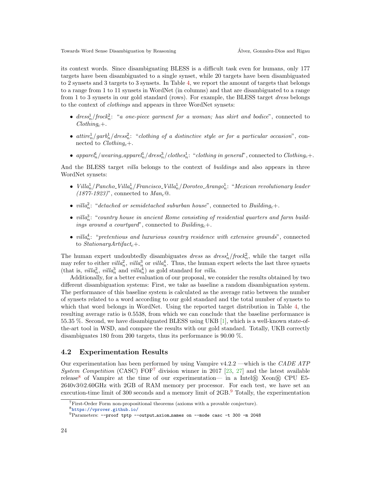its context words. Since disambiguating BLESS is a difficult task even for humans, only 177 targets have been disambiguated to a single synset, while 20 targets have been disambiguated to 2 synsets and 3 targets to 3 synsets. In Table [4,](#page-4-0) we report the amount of targets that belongs to a range from 1 to 11 synsets in WordNet (in columns) and that are disambiguated to a range from 1 to 3 synsets in our gold standard (rows). For example, the BLESS target dress belongs to the context of clothings and appears in three WordNet synsets:

- $dress<sub>n</sub><sup>2</sup>/frock<sub>n</sub><sup>2</sup>: "a one-piece garment for a woman; has skirt and bodic<sup>2</sup>, connected to$  $Clothing_c+.$
- $\alpha$  attire<sup>1</sup><sub>n</sub>/garb<sub>1</sub><sup>1</sup>/dress<sup>2</sup><sub>n</sub>: "clothing of a distinctive style or for a particular occasion", connected to  $Clothing_c+.$
- apparel<sub>n</sub>/wearing\_apparel<sub>n</sub>/dress<sub>n</sub><sup>3</sup>/clothes<sub>n</sub>: "clothing in general", connected to Clothing<sub>c</sub>+.

And the BLESS target *villa* belongs to the context of *buildings* and also appears in three WordNet synsets:

- Villa<sup>1</sup><sub>n</sub>/Pancho\_Villa<sup>1</sup><sub>n</sub>/Francisco\_Villa<sup>1</sup><sub>n</sub>/Doroteo\_Arango<sup>1</sup><sub>n</sub>: "Mexican revolutionary leader  $(1877-1923)$ ", connected to  $Man<sub>c</sub>@$ .
- villa<sup>2</sup><sub>n</sub>: "detached or semidetached suburban house", connected to Building<sub>c</sub>+.
- $\bullet$  villa<sup>3</sup><sub>2</sub>: "country house in ancient Rome consisting of residential quarters and farm buildings around a courtyard", connected to Building<sub>c</sub>+.
- $\bullet$  villa<sup>4</sup><sub>n</sub>: "pretentious and luxurious country residence with extensive grounds", connected to  $StationaryArtifact_c+.$

The human expert undoubtedly disambiguates *dress* as  $dress_n^1/frock_n^2$ , while the target *villa* may refer to either  $villa_n^2$ ,  $villa_n^3$  or  $villa_n^4$ . Thus, the human expert selects the last three synsets (that is,  $villa_n^2$ ,  $villa_n^3$  and  $villa_n^4$ ) as gold standard for  $villa$ .

Additionally, for a better evaluation of our proposal, we consider the results obtained by two different disambiguation systems: First, we take as baseline a random disambiguation system. The performance of this baseline system is calculated as the average ratio between the number of synsets related to a word according to our gold standard and the total number of synsets to which that word belongs in WordNet. Using the reported target distribution in Table [4,](#page-4-0) the resulting average ratio is 0.5538, from which we can conclude that the baseline performance is 55.35 %. Second, we have disambiguated BLESS using UKB [\[1\]](#page-9-7), which is a well-known state-ofthe-art tool in WSD, and compare the results with our gold standard. Totally, UKB correctly disambiguates 180 from 200 targets, thus its performance is 90.00 %.

#### <span id="page-5-0"></span>4.2 Experimentation Results

Our experimentation has been performed by using Vampire  $v4.2.2$  —which is the CADE ATP System Competition (CASC)  $FOF<sup>7</sup>$  $FOF<sup>7</sup>$  $FOF<sup>7</sup>$  division winner in 2017 [\[23,](#page-10-3) [27\]](#page-10-4) and the latest available release<sup>[8](#page-5-2)</sup> of Vampire at the time of our experimentation— in a Intel $\circledR$  Xeon $\circledR$  CPU E5-2640v3@2.60GHz with 2GB of RAM memory per processor. For each test, we have set an execution-time limit of 300 seconds and a memory limit of 2GB.[9](#page-5-3) Totally, the experimentation

<span id="page-5-1"></span><sup>7</sup>First-Order Form non-propositional theorems (axioms with a provable conjecture).

<span id="page-5-2"></span><sup>8</sup><https://vprover.github.io/>

<span id="page-5-3"></span><sup>9</sup>Parameters: --proof tptp --output axiom names on --mode casc -t 300 -m 2048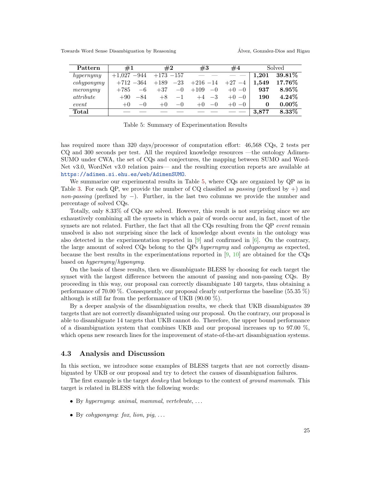Towards Word Sense Disambiguation by Reasoning  $\hat{A}$ lvez, Gonzalez-Dios and Rigau

| Pattern                     | #1                 | #2              | #3             | #4       | Solved    |           |
|-----------------------------|--------------------|-----------------|----------------|----------|-----------|-----------|
| hypernymy                   | $-944$<br>$+1.027$ | $+173 -157$     |                |          | $1.201\,$ | 39.81\%   |
| $\operatorname{cohyponymy}$ | $+712 -364$        | $-23$<br>$+189$ | $+216 -14$     | $+27 -4$ | 1.549     | $17.76\%$ |
| meronymy                    | $+785$<br>$-6$     | $+37$<br>$-0$   | $+109$<br>$-0$ | $+0-0$   | 937       | $8.95\%$  |
| attribute                   | $+90$<br>$-84$     | $-1$<br>$+8$    | $-3$<br>$+4$   | $+0-0$   | 190       | $4.24\%$  |
| event                       | $-()$<br>$+()$     | $+0$<br>$-()$   | $-()$<br>$+()$ | $+0-0$   | 0         | $0.00\%$  |
| Total                       |                    |                 |                |          | 3,877     | $8.33\%$  |

<span id="page-6-1"></span>Table 5: Summary of Experimentation Results

has required more than 320 days/processor of computation effort: 46,568 CQs, 2 tests per CQ and 300 seconds per test. All the required knowledge resources —the ontology Adimen-SUMO under CWA, the set of CQs and conjectures, the mapping between SUMO and Word-Net v3.0, WordNet v3.0 relation pairs— and the resulting execution reports are available at <https://adimen.si.ehu.es/web/AdimenSUMO>.

We summarize our experimental results in Table [5,](#page-6-1) where CQs are organized by QP as in Table [3.](#page-3-0) For each QP, we provide the number of CQ classified as *passing* (prefixed by  $+$ ) and non-passing (prefixed by  $-$ ). Further, in the last two columns we provide the number and percentage of solved CQs.

Totally, only 8.33% of CQs are solved. However, this result is not surprising since we are exhaustively combining all the synsets in which a pair of words occur and, in fact, most of the synsets are not related. Further, the fact that all the  $CQs$  resulting from the  $QP$  event remain unsolved is also not surprising since the lack of knowledge about events in the ontology was also detected in the experimentation reported in  $[9]$  and confirmed in  $[6]$ . On the contrary, the large amount of solved CQs belong to the QPs hypernymy and cohyponymy as expected, because the best results in the experimentations reported in [\[9,](#page-9-13) [10\]](#page-9-6) are obtained for the CQs based on hypernymy/hyponymy.

On the basis of these results, then we disambiguate BLESS by choosing for each target the synset with the largest difference between the amount of passing and non-passing CQs. By proceeding in this way, our proposal can correctly disambiguate 140 targets, thus obtaining a performance of 70.00 %. Consequently, our proposal clearly outperforms the baseline (55.35 %) although is still far from the performance of UKB (90.00 %).

By a deeper analysis of the disambiguation results, we check that UKB disambiguates 39 targets that are not correctly disambiguated using our proposal. On the contrary, our proposal is able to disambiguate 14 targets that UKB cannot do. Therefore, the upper bound performance of a disambiguation system that combines UKB and our proposal increases up to 97.00 %, which opens new research lines for the improvement of state-of-the-art disambiguation systems.

#### <span id="page-6-0"></span>4.3 Analysis and Discussion

In this section, we introduce some examples of BLESS targets that are not correctly disambiguated by UKB or our proposal and try to detect the causes of disambiguation failures.

The first example is the target *donkey* that belongs to the context of *ground mammals*. This target is related in BLESS with the following words:

- By hypernymy: animal, mammal, vertebrate,  $\dots$
- By cohyponymy: fox, lion, pig,  $\dots$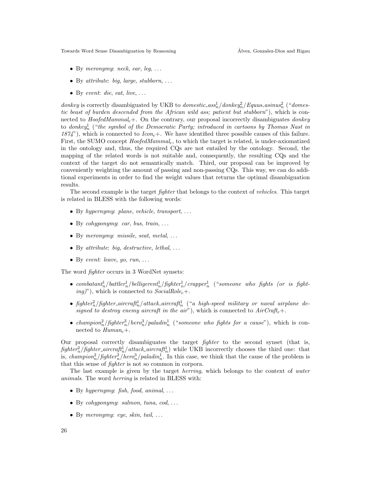Towards Word Sense Disambiguation by Reasoning  $\hat{A}$ lvez, Gonzalez-Dios and Rigau

- By meronymy: neck, ear, leg,  $\dots$
- By attribute: big, large, stubborn,  $\dots$
- By event: die, eat, live,  $\dots$

donkey is correctly disambiguated by UKB to domestic  $\frac{1}{2}$  and  $\frac{1}{2}$  asinus<sup>2</sup> ("domestic beast of burden descended from the African wild ass; patient but stubborn"), which is connected to  $HoofedMammal<sub>c</sub>$ +. On the contrary, our proposal incorrectly disambiguates *donkey* to donkey<sup>1</sup><sub>n</sub> ("the symbol of the Democratic Party; introduced in cartoons by Thomas Nast in 1874"), which is connected to  $Icon_c+$ . We have identified three possible causes of this failure. First, the SUMO concept  $HoofedMammal<sub>c</sub>$ , to which the target is related, is under-axiomatized in the ontology and, thus, the required CQs are not entailed by the ontology. Second, the mapping of the related words is not suitable and, consequently, the resulting CQs and the context of the target do not semantically match. Third, our proposal can be improved by conveniently weighting the amount of passing and non-passing CQs. This way, we can do additional experiments in order to find the weight values that returns the optimal disambiguation results.

The second example is the target *fighter* that belongs to the context of *vehicles*. This target is related in BLESS with the following words:

- By hypernymy: plane, vehicle, transport,  $\dots$
- By cohyponymy: car, bus, train,  $\dots$
- By meronymy: missile, seat, metal,  $\dots$
- By attribute: big, destructive, lethal,  $\dots$
- By event: leave, go, run,  $\dots$

The word fighter occurs in 3 WordNet synsets:

- $\bullet$  combatant $_{n}^{1}/b$ attler $_{n}^{1}/b$ elligerent $_{n}^{1}/f$ ighter $_{n}^{1}/c$ rapper $_{n}^{1}$  ("someone who fights (or is fight $ing)$ , which is connected to  $SocialRole<sub>c</sub> +$ .
- fighter $n^2$ /fighter\_aircraft $n^1$ /attack\_aircraft $n^1$  ("a high-speed military or naval airplane designed to destroy enemy aircraft in the air"), which is connected to  $AirCraft_c+.$
- champion<sub>a</sub><sup>2</sup>/fighter<sub>a</sub><sup>3</sup>/hero<sub>a</sub><sup>3</sup>/paladin<sub>a</sub><sup>1</sup> ("someone who fights for a cause"), which is connected to  $Human_c+.$

Our proposal correctly disambiguates the target fighter to the second synset (that is,  $fighter_n^2/fighter_aircraft_n^1/attack_aircraft_n^1)$  while UKB incorrectly chooses the third one: that is, *champion*<sub>n</sub><sup>2</sup>/*fighter*<sub>n</sub><sup>3</sup>/*hero*<sub>n</sub><sup>3</sup>/*paladin*<sub>n</sub><sup>1</sup>. In this case, we think that the cause of the problem is that this sense of fighter is not so common in corpora.

The last example is given by the target *herring*, which belongs to the context of *water* animals. The word herring is related in BLESS with:

- By hypernymy: fish, food, animal,  $\ldots$
- By cohyponymy: salmon, tuna,  $cod, \ldots$
- By meronymy: eye, skin, tail,  $\dots$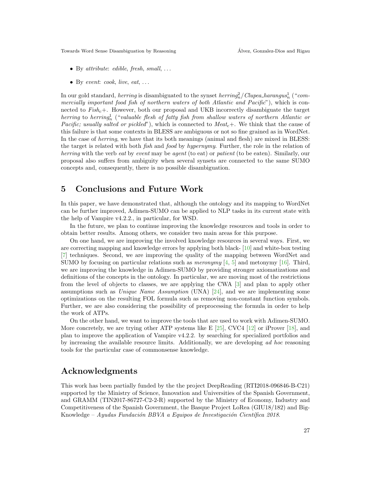Towards Word Sense Disambiguation by Reasoning  $\hat{A}$ lvez, Gonzalez-Dios and Rigau

- By attribute: edible, fresh, small,  $\dots$
- By event:  $cook$ , live, eat, ...

In our gold standard, *herring* is disambiguated to the synset *herring*<sub>n</sub>/*Clupea\_harangus*<sub>n</sub> ("*com*mercially important food fish of northern waters of both Atlantic and Pacific"), which is connected to  $Fish_c+$ . However, both our proposal and UKB incorrectly disambiguate the target herring to herring<sup>1</sup>, ("valuable flesh of fatty fish from shallow waters of northern Atlantic or *Pacific; usually salted or pickled"*), which is connected to  $Meat_c+$ . We think that the cause of this failure is that some contexts in BLESS are ambiguous or not so fine grained as in WordNet. In the case of *herring*, we have that its both meanings (animal and flesh) are mixed in BLESS: the target is related with both fish and food by hypernymy. Further, the role in the relation of herring with the verb eat by event may be agent (to eat) or patient (to be eaten). Similarly, our proposal also suffers from ambiguity when several synsets are connected to the same SUMO concepts and, consequently, there is no possible disambiguation.

## <span id="page-8-0"></span>5 Conclusions and Future Work

In this paper, we have demonstrated that, although the ontology and its mapping to WordNet can be further improved, Adimen-SUMO can be applied to NLP tasks in its current state with the help of Vampire v4.2.2., in particular, for WSD.

In the future, we plan to continue improving the knowledge resources and tools in order to obtain better results. Among others, we consider two main areas for this purpose.

On one hand, we are improving the involved knowledge resources in several ways. First, we are correcting mapping and knowledge errors by applying both black- [\[10\]](#page-9-6) and white-box testing [\[7\]](#page-9-15) techniques. Second, we are improving the quality of the mapping between WordNet and SUMO by focusing on particular relations such as *meronymy*  $[4, 5]$  $[4, 5]$  $[4, 5]$  and metonymy [\[16\]](#page-9-17). Third, we are improving the knowledge in Adimen-SUMO by providing stronger axiomatizations and definitions of the concepts in the ontology. In particular, we are moving most of the restrictions from the level of objects to classes, we are applying the CWA [\[3\]](#page-9-10) and plan to apply other assumptions such as Unique Name Assumption (UNA) [\[24\]](#page-10-5), and we are implementing some optimizations on the resulting FOL formula such as removing non-constant function symbols. Further, we are also considering the possibility of preprocessing the formula in order to help the work of ATPs.

On the other hand, we want to improve the tools that are used to work with Adimen-SUMO. More concretely, we are trying other ATP systems like E  $[25]$ , CVC4  $[12]$  or iProver [\[18\]](#page-9-19), and plan to improve the application of Vampire v4.2.2. by searching for specialized portfolios and by increasing the available resource limits. Additionally, we are developing ad hoc reasoning tools for the particular case of commonsense knowledge.

### Acknowledgments

This work has been partially funded by the the project DeepReading (RTI2018-096846-B-C21) supported by the Ministry of Science, Innovation and Universities of the Spanish Government, and GRAMM (TIN2017-86727-C2-2-R) supported by the Ministry of Economy, Industry and Competitiveness of the Spanish Government, the Basque Project LoRea (GIU18/182) and Big-Knowledge – Ayudas Fundación BBVA a Equipos de Investigación Científica 2018.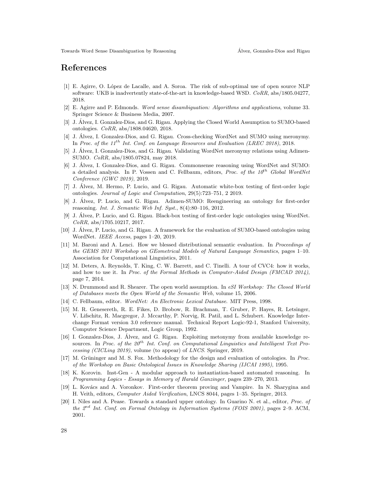# References

- <span id="page-9-7"></span>[1] E. Agirre, O. L´opez de Lacalle, and A. Soroa. The risk of sub-optimal use of open source NLP software: UKB is inadvertently state-of-the-art in knowledge-based WSD. CoRR, abs/1805.04277, 2018.
- <span id="page-9-0"></span>[2] E. Agirre and P. Edmonds. Word sense disambiguation: Algorithms and applications, volume 33. Springer Science & Business Media, 2007.
- <span id="page-9-10"></span>[3] J. Alvez, I. Gonzalez-Dios, and G. Rigau. Applying the Closed World Assumption to SUMO-based ´ ontologies. CoRR, abs/1808.04620, 2018.
- <span id="page-9-12"></span>[4] J. Alvez, I. Gonzalez-Dios, and G. Rigau. Cross-checking WordNet and SUMO using meronymy. ´ In Proc. of the  $11^{th}$  Int. Conf. on Language Resources and Evaluation (LREC 2018), 2018.
- <span id="page-9-16"></span>[5] J. Alvez, I. Gonzalez-Dios, and G. Rigau. Validating WordNet meronymy relations using Adimen- ´ SUMO. CoRR, abs/1805.07824, may 2018.
- <span id="page-9-14"></span>[6] J. Alvez, I. Gonzalez-Dios, and G. Rigau. Commonsense reasoning using WordNet and SUMO: ´ a detailed analysis. In P. Vossen and C. Fellbaum, editors, *Proc. of the 10<sup>th</sup>* Global WordNet Conference (GWC 2019), 2019.
- <span id="page-9-15"></span>[7] J. Alvez, M. Hermo, P. Lucio, and G. Rigau. Automatic white-box testing of first-order logic ´ ontologies. Journal of Logic and Computation, 29(5):723–751, 2 2019.
- <span id="page-9-4"></span>[8] J. Alvez, P. Lucio, and G. Rigau. Adimen-SUMO: Reengineering an ontology for first-order ´ reasoning. Int. J. Semantic Web Inf. Syst.,  $8(4):80-116$ ,  $2012$ .
- <span id="page-9-13"></span>[9] J. Alvez, P. Lucio, and G. Rigau. Black-box testing of first-order logic ontologies using WordNet. ´ CoRR, abs/1705.10217, 2017.
- <span id="page-9-6"></span>[10] J. Alvez, P. Lucio, and G. Rigau. A framework for the evaluation of SUMO-based ontologies using ´ WordNet. IEEE Access, pages 1–20, 2019.
- <span id="page-9-3"></span>[11] M. Baroni and A. Lenci. How we blessed distributional semantic evaluation. In Proceedings of the GEMS 2011 Workshop on GEometrical Models of Natural Language Semantics, pages 1–10. Association for Computational Linguistics, 2011.
- <span id="page-9-18"></span>[12] M. Deters, A. Reynolds, T. King, C. W. Barrett, and C. Tinelli. A tour of CVC4: how it works, and how to use it. In Proc. of the Formal Methods in Computer-Aided Design (FMCAD 2014), page 7, 2014.
- <span id="page-9-9"></span>[13] N. Drummond and R. Shearer. The open world assumption. In eSI Workshop: The Closed World of Databases meets the Open World of the Semantic Web, volume 15, 2006.
- <span id="page-9-1"></span>[14] C. Fellbaum, editor. WordNet: An Electronic Lexical Database. MIT Press, 1998.
- <span id="page-9-8"></span>[15] M. R. Genesereth, R. E. Fikes, D. Brobow, R. Brachman, T. Gruber, P. Hayes, R. Letsinger, V. Lifschitz, R. Macgregor, J. Mccarthy, P. Norvig, R. Patil, and L. Schubert. Knowledge Interchange Format version 3.0 reference manual. Technical Report Logic-92-1, Stanford University, Computer Science Department, Logic Group, 1992.
- <span id="page-9-17"></span>[16] I. Gonzalez-Dios, J. Alvez, and G. Rigau. Exploiting metonymy from available knowledge re- ´ sources. In Proc. of the  $20^{th}$  Int. Conf. on Computational Linguistics and Intelligent Text Processing (CICLing 2019), volume (to appear) of LNCS. Springer, 2019.
- <span id="page-9-11"></span>[17] M. Grüninger and M. S. Fox. Methodology for the design and evaluation of ontologies. In Proc. of the Workshop on Basic Ontological Issues in Knowledge Sharing (IJCAI 1995), 1995.
- <span id="page-9-19"></span>[18] K. Korovin. Inst-Gen - A modular approach to instantiation-based automated reasoning. In Programming Logics - Essays in Memory of Harald Ganzinger, pages 239–270, 2013.
- <span id="page-9-2"></span>[19] L. Kovács and A. Voronkov. First-order theorem proving and Vampire. In N. Sharygina and H. Veith, editors, Computer Aided Verification, LNCS 8044, pages 1–35. Springer, 2013.
- <span id="page-9-5"></span>[20] I. Niles and A. Pease. Towards a standard upper ontology. In Guarino N. et al., editor, Proc. of the  $2<sup>nd</sup>$  Int. Conf. on Formal Ontology in Information Systems (FOIS 2001), pages 2–9. ACM, 2001.